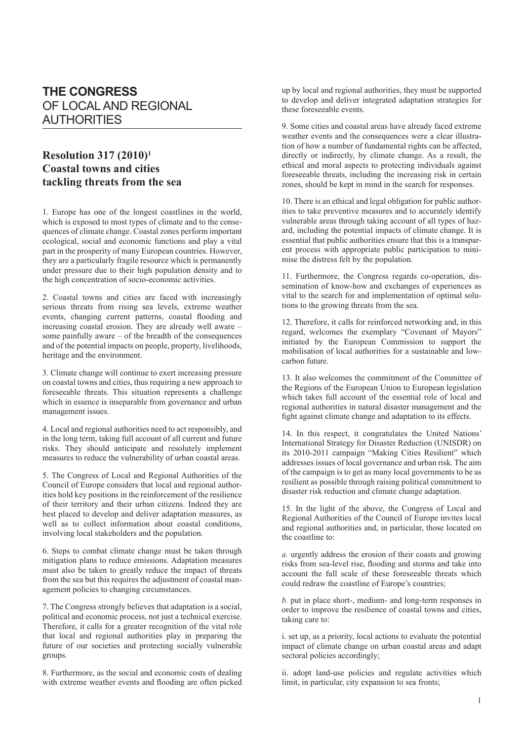## **THE CONGRESS** OF LOCAL AND REGIONAL AUTHORITIES

## **Resolution 317 (2010)1 Coastal towns and cities tackling threats from the sea**

1. Europe has one of the longest coastlines in the world, which is exposed to most types of climate and to the consequences of climate change. Coastal zones perform important ecological, social and economic functions and play a vital part in the prosperity of many European countries. However, they are a particularly fragile resource which is permanently under pressure due to their high population density and to the high concentration of socio-economic activities.

2. Coastal towns and cities are faced with increasingly serious threats from rising sea levels, extreme weather events, changing current patterns, coastal flooding and increasing coastal erosion. They are already well aware – some painfully aware – of the breadth of the consequences and of the potential impacts on people, property, livelihoods, heritage and the environment.

3. Climate change will continue to exert increasing pressure on coastal towns and cities, thus requiring a new approach to foreseeable threats. This situation represents a challenge which in essence is inseparable from governance and urban management issues.

4. Local and regional authorities need to act responsibly, and in the long term, taking full account of all current and future risks. They should anticipate and resolutely implement measures to reduce the vulnerability of urban coastal areas.

5. The Congress of Local and Regional Authorities of the Council of Europe considers that local and regional authorities hold key positions in the reinforcement of the resilience of their territory and their urban citizens. Indeed they are best placed to develop and deliver adaptation measures, as well as to collect information about coastal conditions, involving local stakeholders and the population.

6. Steps to combat climate change must be taken through mitigation plans to reduce emissions. Adaptation measures must also be taken to greatly reduce the impact of threats from the sea but this requires the adjustment of coastal management policies to changing circumstances.

7. The Congress strongly believes that adaptation is a social, political and economic process, not just a technical exercise. Therefore, it calls for a greater recognition of the vital role that local and regional authorities play in preparing the future of our societies and protecting socially vulnerable groups.

8. Furthermore, as the social and economic costs of dealing with extreme weather events and flooding are often picked up by local and regional authorities, they must be supported to develop and deliver integrated adaptation strategies for these foreseeable events.

9. Some cities and coastal areas have already faced extreme weather events and the consequences were a clear illustration of how a number of fundamental rights can be affected, directly or indirectly, by climate change. As a result, the ethical and moral aspects to protecting individuals against foreseeable threats, including the increasing risk in certain zones, should be kept in mind in the search for responses.

10. There is an ethical and legal obligation for public authorities to take preventive measures and to accurately identify vulnerable areas through taking account of all types of hazard, including the potential impacts of climate change. It is essential that public authorities ensure that this is a transparent process with appropriate public participation to minimise the distress felt by the population.

11. Furthermore, the Congress regards co-operation, dissemination of know-how and exchanges of experiences as vital to the search for and implementation of optimal solutions to the growing threats from the sea.

12. Therefore, it calls for reinforced networking and, in this regard, welcomes the exemplary "Covenant of Mayors" initiated by the European Commission to support the mobilisation of local authorities for a sustainable and lowcarbon future.

13. It also welcomes the commitment of the Committee of the Regions of the European Union to European legislation which takes full account of the essential role of local and regional authorities in natural disaster management and the fight against climate change and adaptation to its effects.

14. In this respect, it congratulates the United Nations' International Strategy for Disaster Reduction (UNISDR) on its 2010-2011 campaign "Making Cities Resilient" which addresses issues of local governance and urban risk. The aim of the campaign is to get as many local governments to be as resilient as possible through raising political commitment to disaster risk reduction and climate change adaptation.

15. In the light of the above, the Congress of Local and Regional Authorities of the Council of Europe invites local and regional authorities and, in particular, those located on the coastline to:

*a.* urgently address the erosion of their coasts and growing risks from sea-level rise, flooding and storms and take into account the full scale of these foreseeable threats which could redraw the coastline of Europe's countries;

*b.* put in place short-, medium- and long-term responses in order to improve the resilience of coastal towns and cities, taking care to:

i. set up, as a priority, local actions to evaluate the potential impact of climate change on urban coastal areas and adapt sectoral policies accordingly;

ii. adopt land-use policies and regulate activities which limit, in particular, city expansion to sea fronts;